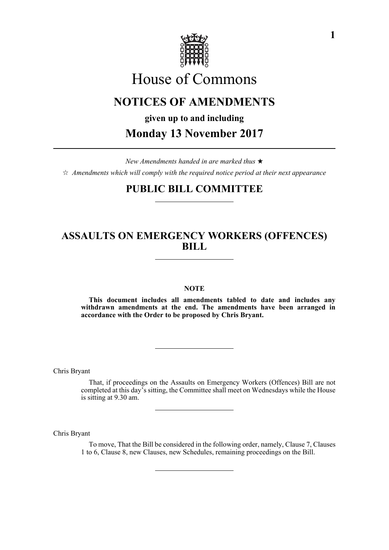

# House of Commons

# **NOTICES OF AMENDMENTS**

**given up to and including**

**Monday 13 November 2017**

*New Amendments handed in are marked thus*   $\hat{\varphi}$  Amendments which will comply with the required notice period at their next appearance

# **PUBLIC BILL COMMITTEE**

# **ASSAULTS ON EMERGENCY WORKERS (OFFENCES) BILL**

# **NOTE**

**This document includes all amendments tabled to date and includes any withdrawn amendments at the end. The amendments have been arranged in accordance with the Order to be proposed by Chris Bryant.**

Chris Bryant

That, if proceedings on the Assaults on Emergency Workers (Offences) Bill are not completed at this day's sitting, the Committee shall meet on Wednesdays while the House is sitting at 9.30 am.

Chris Bryant

To move, That the Bill be considered in the following order, namely, Clause 7, Clauses 1 to 6, Clause 8, new Clauses, new Schedules, remaining proceedings on the Bill.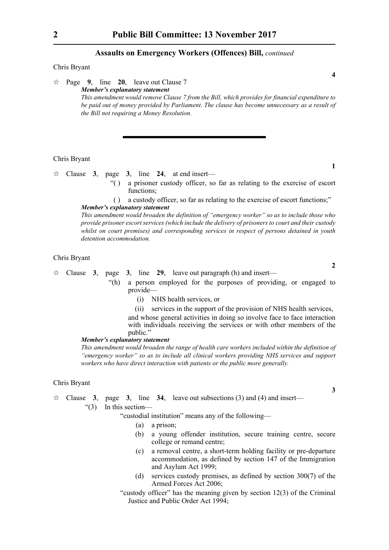## **Assaults on Emergency Workers (Offences) Bill,** *continued*

## Chris Bryant

 $\approx$  Page 9, line 20, leave out Clause 7 *Member's explanatory statement This amendment would remove Clause 7 from the Bill, which provides for financial expenditure to be paid out of money provided by Parliament. The clause has become unnecessary as a result of the Bill not requiring a Money Resolution.*

#### Chris Bryant

- $\forall$  Clause **3**, page **3**, line **24**, at end insert—
	- "( ) a prisoner custody officer, so far as relating to the exercise of escort functions:
	- ( ) a custody officer, so far as relating to the exercise of escort functions;"

*Member's explanatory statement* 

*This amendment would broaden the definition of "emergency worker" so as to include those who provide prisoner escort services (which include the delivery of prisoners to court and their custody whilst on court premises) and corresponding services in respect of persons detained in youth detention accommodation.*

#### Chris Bryant

Clause **3**, page **3**, line **29**, leave out paragraph (h) and insert—

"(h) a person employed for the purposes of providing, or engaged to provide—

- (i) NHS health services, or
- (ii) services in the support of the provision of NHS health services,

and whose general activities in doing so involve face to face interaction with individuals receiving the services or with other members of the public."

# *Member's explanatory statement*

*This amendment would broaden the range of health care workers included within the definition of "emergency worker" so as to include all clinical workers providing NHS services and support workers who have direct interaction with patients or the public more generally.*

## Chris Bryant

- $\approx$  Clause **3**, page **3**, line **34**, leave out subsections (3) and (4) and insert—
	- "(3) In this section—

"custodial institution" means any of the following—

- (a) a prison;
- (b) a young offender institution, secure training centre, secure college or remand centre;
- (c) a removal centre, a short-term holding facility or pre-departure accommodation, as defined by section 147 of the Immigration and Asylum Act 1999;
- (d) services custody premises, as defined by section 300(7) of the Armed Forces Act 2006;
- "custody officer" has the meaning given by section 12(3) of the Criminal Justice and Public Order Act 1994;

**4**

**2**

**1**

**3**